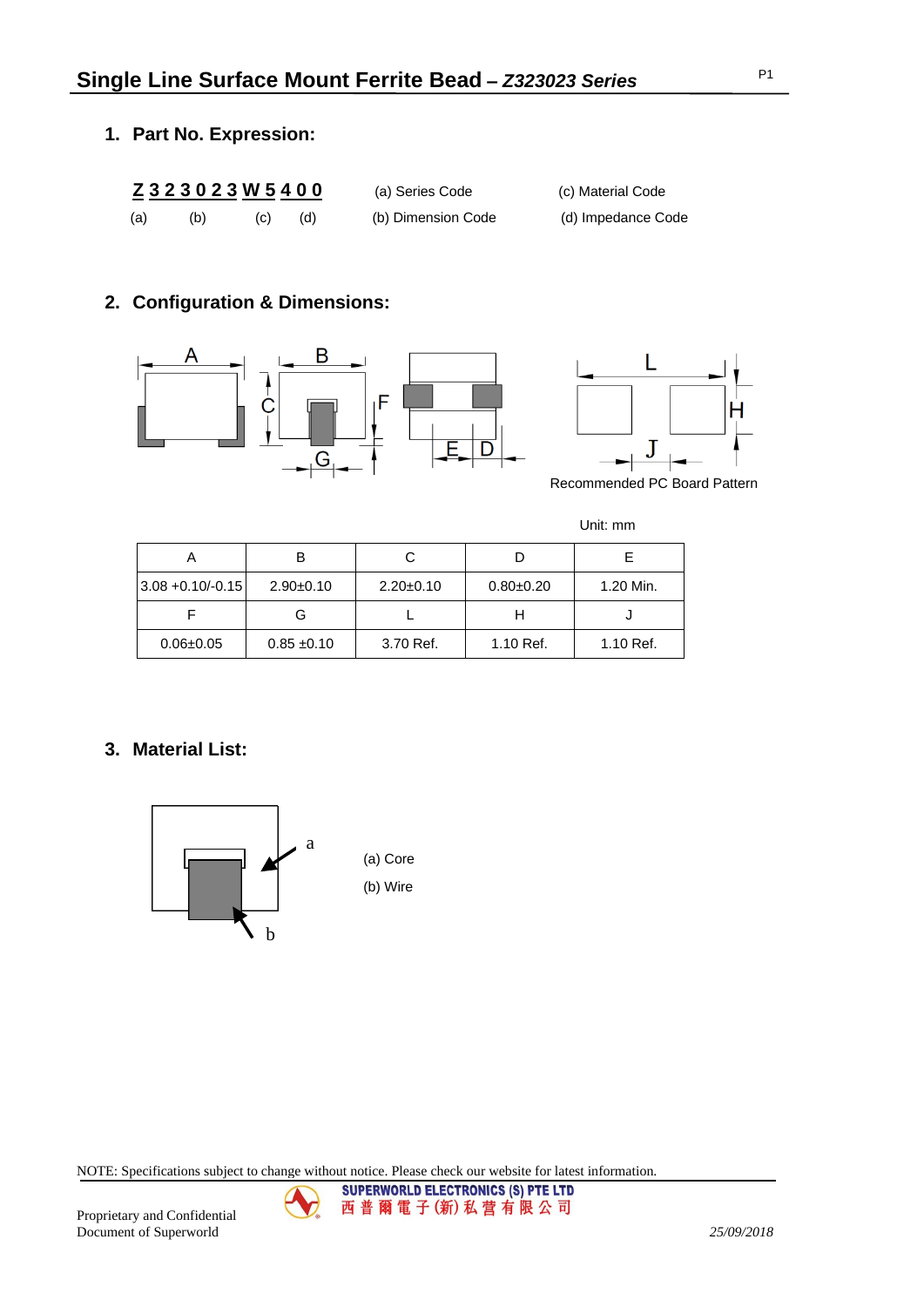# **1. Part No. Expression:**

|     | Z323023W5400 |     | (a) Series Code    | (c) Material Code  |
|-----|--------------|-----|--------------------|--------------------|
| (a) | (b)          | (C) | (b) Dimension Code | (d) Impedance Code |

## **2. Configuration & Dimensions:**





Recommended PC Board Pattern



|                     | В               | C               |               |           |
|---------------------|-----------------|-----------------|---------------|-----------|
| $3.08 + 0.10/-0.15$ | $2.90+0.10$     | $2.20 \pm 0.10$ | $0.80 + 0.20$ | 1.20 Min. |
|                     | G               |                 | н             |           |
| $0.06 \pm 0.05$     | $0.85 \pm 0.10$ | 3.70 Ref.       | 1.10 Ref.     | 1.10 Ref. |

## **3. Material List:**



NOTE: Specifications subject to change without notice. Please check our website for latest information.

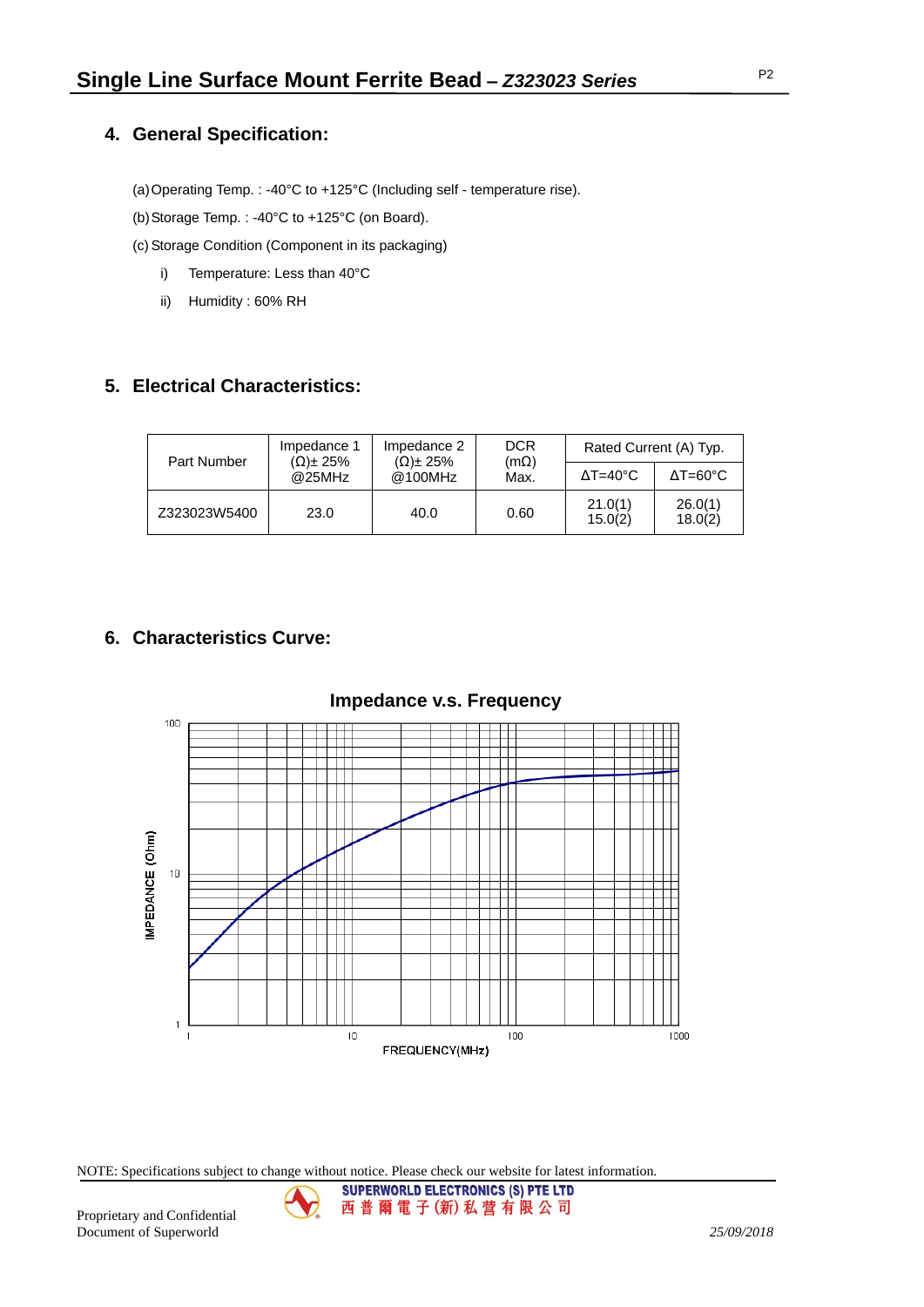### **4. General Specification:**

(a)Operating Temp. : -40°C to +125°C (Including self - temperature rise).

(b)Storage Temp. : -40°C to +125°C (on Board).

(c)Storage Condition (Component in its packaging)

- i) Temperature: Less than 40°C
- ii) Humidity : 60% RH

## **5. Electrical Characteristics:**

| Part Number  | Impedance 1<br>$(\Omega)$ ± 25% | Impedance 2<br>$(\Omega)$ ± 25%<br>@100MHz | <b>DCR</b><br>$(m\Omega)$<br>Max. | Rated Current (A) Typ.   |                          |
|--------------|---------------------------------|--------------------------------------------|-----------------------------------|--------------------------|--------------------------|
|              | @25MHz                          |                                            |                                   | $\Delta T = 40^{\circ}C$ | $\Delta T = 60^{\circ}C$ |
| Z323023W5400 | 23.0                            | 40.0                                       | 0.60                              | 21.0(1)<br>15.0(2)       | 26.0(1)<br>18.0(2)       |

## **6. Characteristics Curve:**



NOTE: Specifications subject to change without notice. Please check our website for latest information.

**SUPERWORLD ELECTRONICS (S) PTE LTD** 西普爾電子(新)私营有限公司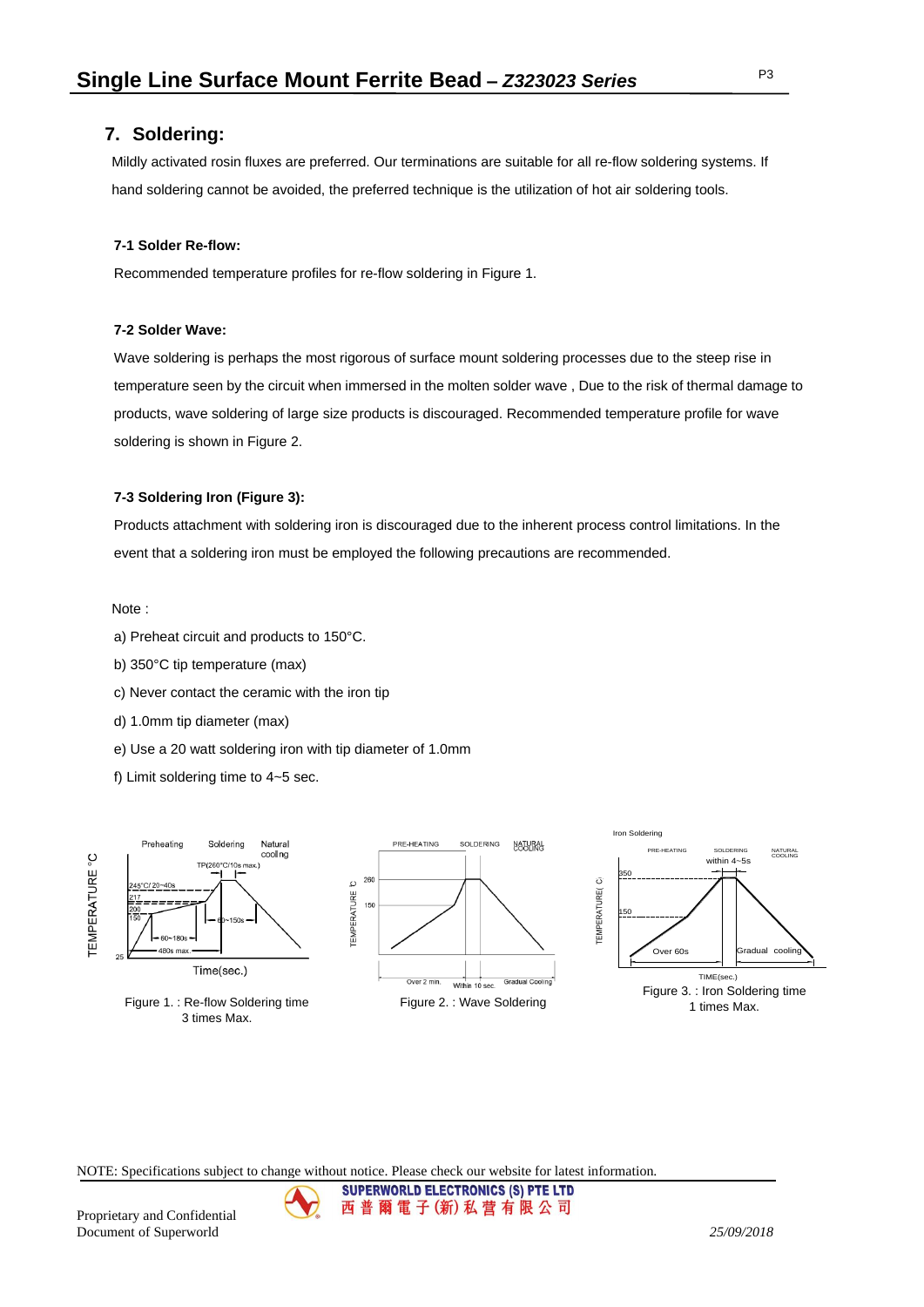### **7. Soldering:**

 Mildly activated rosin fluxes are preferred. Our terminations are suitable for all re-flow soldering systems. If hand soldering cannot be avoided, the preferred technique is the utilization of hot air soldering tools.

#### **7-1 Solder Re-flow:**

Recommended temperature profiles for re-flow soldering in Figure 1.

#### **7-2 Solder Wave:**

Wave soldering is perhaps the most rigorous of surface mount soldering processes due to the steep rise in temperature seen by the circuit when immersed in the molten solder wave , Due to the risk of thermal damage to products, wave soldering of large size products is discouraged. Recommended temperature profile for wave soldering is shown in Figure 2.

#### **7-3 Soldering Iron (Figure 3):**

Products attachment with soldering iron is discouraged due to the inherent process control limitations. In the event that a soldering iron must be employed the following precautions are recommended.

#### Note :

- a) Preheat circuit and products to 150°C.
- b) 350°C tip temperature (max)
- c) Never contact the ceramic with the iron tip
- d) 1.0mm tip diameter (max)
- e) Use a 20 watt soldering iron with tip diameter of 1.0mm
- f) Limit soldering time to 4~5 sec.



NOTE: Specifications subject to change without notice. Please check our website for latest information.

**SUPERWORLD ELECTRONICS (S) PTE LTD** 西 普 爾 電 子 (新) 私 营 有 限 公 司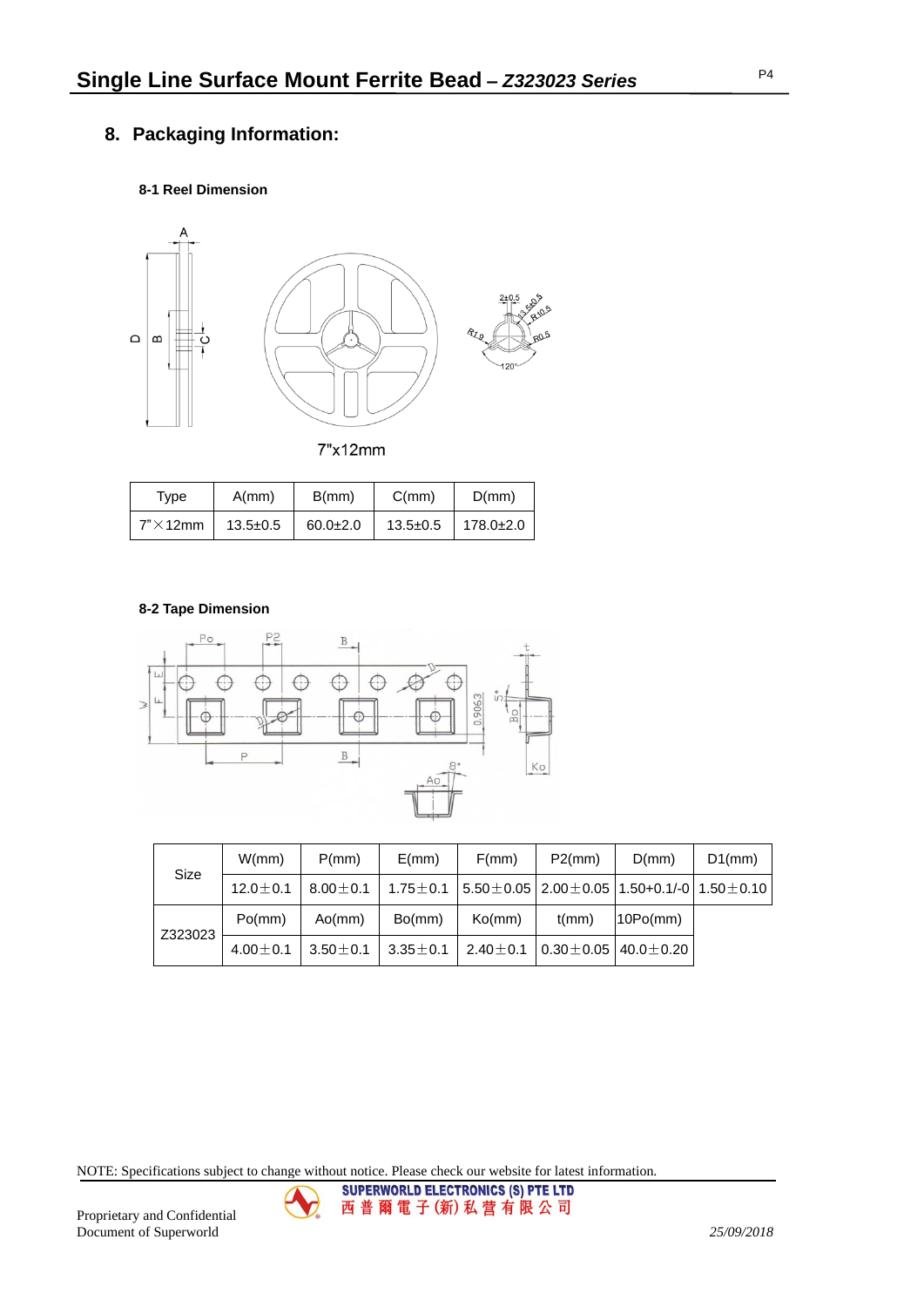# **8. Packaging Information:**

### **8-1 Reel Dimension**



| Type              | A/mm         | B/mm       | C/mm         | D(mm)           |
|-------------------|--------------|------------|--------------|-----------------|
| $7" \times 12$ mm | $13.5 + 0.5$ | $60.0+2.0$ | $13.5 + 0.5$ | $178.0 \pm 2.0$ |

### **8-2 Tape Dimension**



| Size    | W/mm           | P(mm)               | E/mm         | F/mm                | P2(mm) | D(mm)                                                                              | D1(mm) |
|---------|----------------|---------------------|--------------|---------------------|--------|------------------------------------------------------------------------------------|--------|
|         | $12.0 \pm 0.1$ | $8.00 \pm 0.1$      |              |                     |        | 1.75 $\pm$ 0.1   5.50 $\pm$ 0.05   2.00 $\pm$ 0.05   1.50+0.1/-0   1.50 $\pm$ 0.10 |        |
| Z323023 | Po(mm)         | A <sub>o</sub> (mm) | Bo(mm)       | K <sub>0</sub> (mm) | t(mm)  | l10Po(mm)                                                                          |        |
|         | $4.00 + 0.1$   | $3.50 \pm 0.1$      | $3.35\pm0.1$ | $2.40 \pm 0.1$      |        | $0.30 \pm 0.05$   40.0 $\pm$ 0.20                                                  |        |

NOTE: Specifications subject to change without notice. Please check our website for latest information.